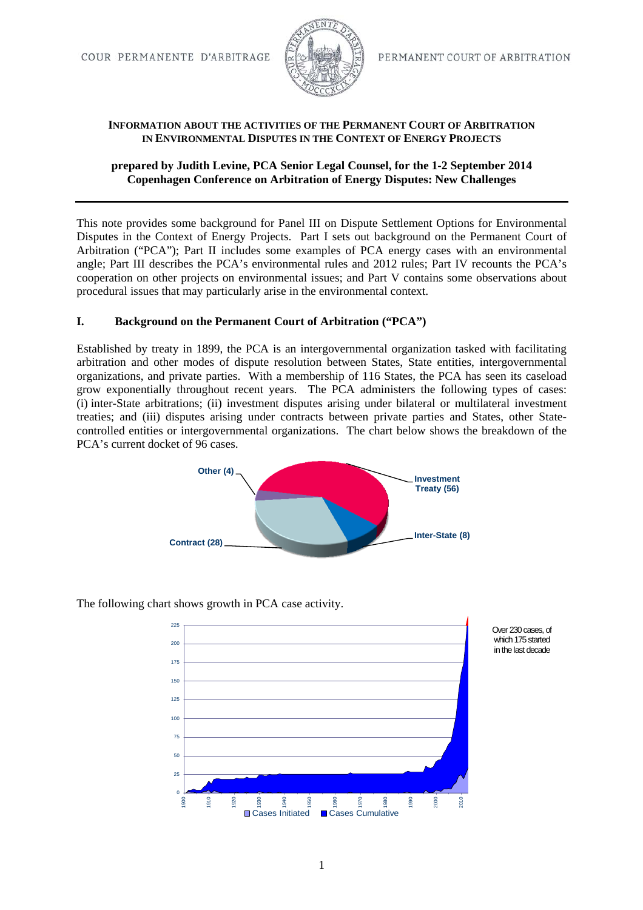

### **INFORMATION ABOUT THE ACTIVITIES OF THE PERMANENT COURT OF ARBITRATION IN ENVIRONMENTAL DISPUTES IN THE CONTEXT OF ENERGY PROJECTS**

## **prepared by Judith Levine, PCA Senior Legal Counsel, for the 1-2 September 2014 Copenhagen Conference on Arbitration of Energy Disputes: New Challenges**

This note provides some background for Panel III on Dispute Settlement Options for Environmental Disputes in the Context of Energy Projects. Part I sets out background on the Permanent Court of Arbitration ("PCA"); Part II includes some examples of PCA energy cases with an environmental angle; Part III describes the PCA's environmental rules and 2012 rules; Part IV recounts the PCA's cooperation on other projects on environmental issues; and Part V contains some observations about procedural issues that may particularly arise in the environmental context.

## **I. Background on the Permanent Court of Arbitration ("PCA")**

Established by treaty in 1899, the PCA is an intergovernmental organization tasked with facilitating arbitration and other modes of dispute resolution between States, State entities, intergovernmental organizations, and private parties. With a membership of 116 States, the PCA has seen its caseload grow exponentially throughout recent years. The PCA administers the following types of cases: (i) inter-State arbitrations; (ii) investment disputes arising under bilateral or multilateral investment treaties; and (iii) disputes arising under contracts between private parties and States, other Statecontrolled entities or intergovernmental organizations. The chart below shows the breakdown of the PCA's current docket of 96 cases.



The following chart shows growth in PCA case activity.

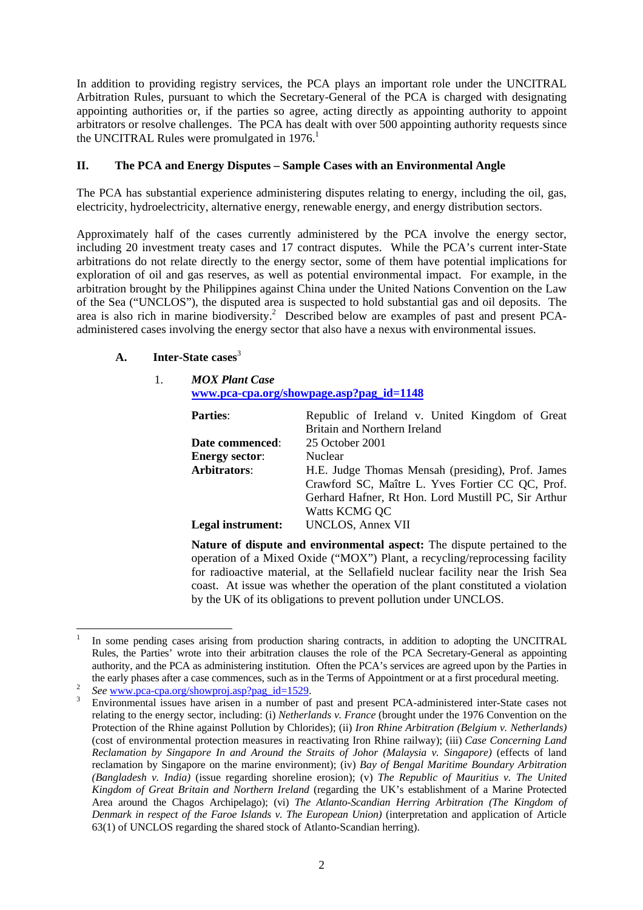In addition to providing registry services, the PCA plays an important role under the UNCITRAL Arbitration Rules, pursuant to which the Secretary-General of the PCA is charged with designating appointing authorities or, if the parties so agree, acting directly as appointing authority to appoint arbitrators or resolve challenges. The PCA has dealt with over 500 appointing authority requests since the UNCITRAL Rules were promulgated in 1976.<sup>1</sup>

## **II. The PCA and Energy Disputes – Sample Cases with an Environmental Angle**

The PCA has substantial experience administering disputes relating to energy, including the oil, gas, electricity, hydroelectricity, alternative energy, renewable energy, and energy distribution sectors.

Approximately half of the cases currently administered by the PCA involve the energy sector, including 20 investment treaty cases and 17 contract disputes. While the PCA's current inter-State arbitrations do not relate directly to the energy sector, some of them have potential implications for exploration of oil and gas reserves, as well as potential environmental impact. For example, in the arbitration brought by the Philippines against China under the United Nations Convention on the Law of the Sea ("UNCLOS"), the disputed area is suspected to hold substantial gas and oil deposits. The area is also rich in marine biodiversity.<sup>2</sup> Described below are examples of past and present PCAadministered cases involving the energy sector that also have a nexus with environmental issues.

## **A. Inter-State cases**<sup>3</sup>

#### 1. *MOX Plant Case*  **www.pca-cpa.org/showpage.asp?pag\_id=1148**

| <b>Parties:</b>       | Republic of Ireland v. United Kingdom of Great<br>Britain and Northern Ireland                                                                                                |  |
|-----------------------|-------------------------------------------------------------------------------------------------------------------------------------------------------------------------------|--|
| Date commenced:       | 25 October 2001                                                                                                                                                               |  |
| <b>Energy sector:</b> | <b>Nuclear</b>                                                                                                                                                                |  |
| <b>Arbitrators:</b>   | H.E. Judge Thomas Mensah (presiding), Prof. James<br>Crawford SC, Maître L. Yves Fortier CC QC, Prof.<br>Gerhard Hafner, Rt Hon. Lord Mustill PC, Sir Arthur<br>Watts KCMG QC |  |
| Legal instrument:     | <b>UNCLOS, Annex VII</b>                                                                                                                                                      |  |

**Nature of dispute and environmental aspect:** The dispute pertained to the operation of a Mixed Oxide ("MOX") Plant, a recycling/reprocessing facility for radioactive material, at the Sellafield nuclear facility near the Irish Sea coast. At issue was whether the operation of the plant constituted a violation by the UK of its obligations to prevent pollution under UNCLOS.

 1 In some pending cases arising from production sharing contracts, in addition to adopting the UNCITRAL Rules, the Parties' wrote into their arbitration clauses the role of the PCA Secretary-General as appointing authority, and the PCA as administering institution. Often the PCA's services are agreed upon by the Parties in the early phases after a case commences, such as in the Terms of Appointment or at a first procedural meeting.<br><sup>2</sup> *See* www.pca-cpa.org/showproj.asp?pag\_id=1529.

Environmental issues have arisen in a number of past and present PCA-administered inter-State cases not relating to the energy sector, including: (i) *Netherlands v. France* (brought under the 1976 Convention on the Protection of the Rhine against Pollution by Chlorides); (ii) *Iron Rhine Arbitration (Belgium v. Netherlands)*  (cost of environmental protection measures in reactivating Iron Rhine railway); (iii) *Case Concerning Land Reclamation by Singapore In and Around the Straits of Johor (Malaysia v. Singapore)* (effects of land reclamation by Singapore on the marine environment); (iv) *Bay of Bengal Maritime Boundary Arbitration (Bangladesh v. India)* (issue regarding shoreline erosion); (v) *The Republic of Mauritius v. The United Kingdom of Great Britain and Northern Ireland* (regarding the UK's establishment of a Marine Protected Area around the Chagos Archipelago); (vi) *The Atlanto-Scandian Herring Arbitration (The Kingdom of Denmark in respect of the Faroe Islands v. The European Union)* (interpretation and application of Article 63(1) of UNCLOS regarding the shared stock of Atlanto-Scandian herring).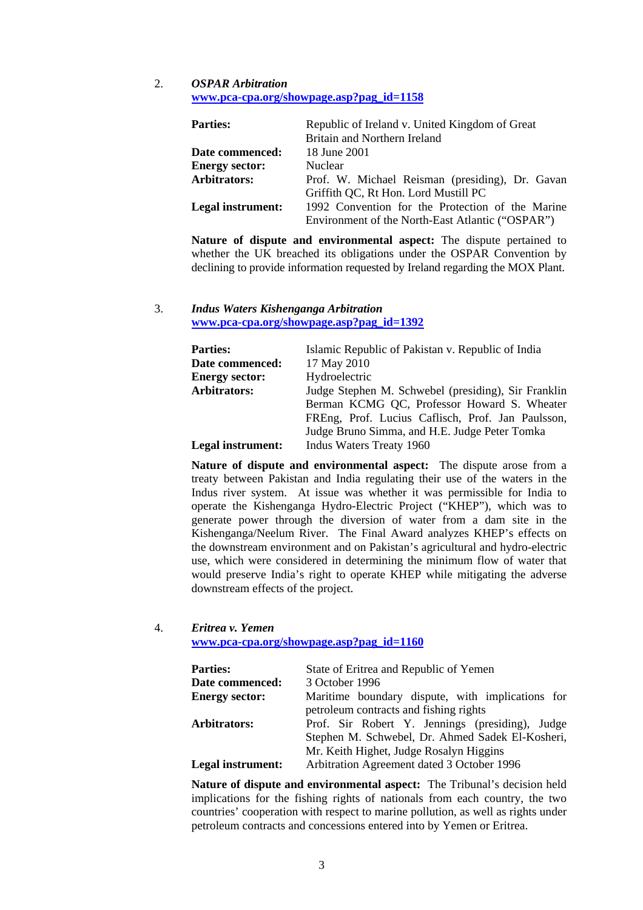#### 2. *OSPAR Arbitration*  **www.pca-cpa.org/showpage.asp?pag\_id=1158**

| <b>Parties:</b>       | Republic of Ireland v. United Kingdom of Great   |  |  |
|-----------------------|--------------------------------------------------|--|--|
|                       | Britain and Northern Ireland                     |  |  |
| Date commenced:       | 18 June 2001                                     |  |  |
| <b>Energy sector:</b> | <b>Nuclear</b>                                   |  |  |
| Arbitrators:          | Prof. W. Michael Reisman (presiding), Dr. Gavan  |  |  |
|                       | Griffith QC, Rt Hon. Lord Mustill PC             |  |  |
| Legal instrument:     | 1992 Convention for the Protection of the Marine |  |  |
|                       | Environment of the North-East Atlantic ("OSPAR") |  |  |

**Nature of dispute and environmental aspect:** The dispute pertained to whether the UK breached its obligations under the OSPAR Convention by declining to provide information requested by Ireland regarding the MOX Plant.

## 3. *Indus Waters Kishenganga Arbitration*  **www.pca-cpa.org/showpage.asp?pag\_id=1392**

| <b>Parties:</b>       | Islamic Republic of Pakistan v. Republic of India   |
|-----------------------|-----------------------------------------------------|
| Date commenced:       | 17 May 2010                                         |
| <b>Energy sector:</b> | Hydroelectric                                       |
| Arbitrators:          | Judge Stephen M. Schwebel (presiding), Sir Franklin |
|                       | Berman KCMG QC, Professor Howard S. Wheater         |
|                       | FREng, Prof. Lucius Caflisch, Prof. Jan Paulsson,   |
|                       | Judge Bruno Simma, and H.E. Judge Peter Tomka       |
| Legal instrument:     | Indus Waters Treaty 1960                            |
|                       |                                                     |

**Nature of dispute and environmental aspect:** The dispute arose from a treaty between Pakistan and India regulating their use of the waters in the Indus river system. At issue was whether it was permissible for India to operate the Kishenganga Hydro-Electric Project ("KHEP"), which was to generate power through the diversion of water from a dam site in the Kishenganga/Neelum River. The Final Award analyzes KHEP's effects on the downstream environment and on Pakistan's agricultural and hydro-electric use, which were considered in determining the minimum flow of water that would preserve India's right to operate KHEP while mitigating the adverse downstream effects of the project.

### 4. *Eritrea v. Yemen*

**www.pca-cpa.org/showpage.asp?pag\_id=1160**

| <b>Parties:</b>        | State of Eritrea and Republic of Yemen           |
|------------------------|--------------------------------------------------|
| <b>Date commenced:</b> | 3 October 1996                                   |
| <b>Energy sector:</b>  | Maritime boundary dispute, with implications for |
|                        | petroleum contracts and fishing rights           |
| Arbitrators:           | Prof. Sir Robert Y. Jennings (presiding), Judge  |
|                        | Stephen M. Schwebel, Dr. Ahmed Sadek El-Kosheri, |
|                        | Mr. Keith Highet, Judge Rosalyn Higgins          |
| Legal instrument:      | Arbitration Agreement dated 3 October 1996       |
|                        |                                                  |

**Nature of dispute and environmental aspect:** The Tribunal's decision held implications for the fishing rights of nationals from each country, the two countries' cooperation with respect to marine pollution, as well as rights under petroleum contracts and concessions entered into by Yemen or Eritrea.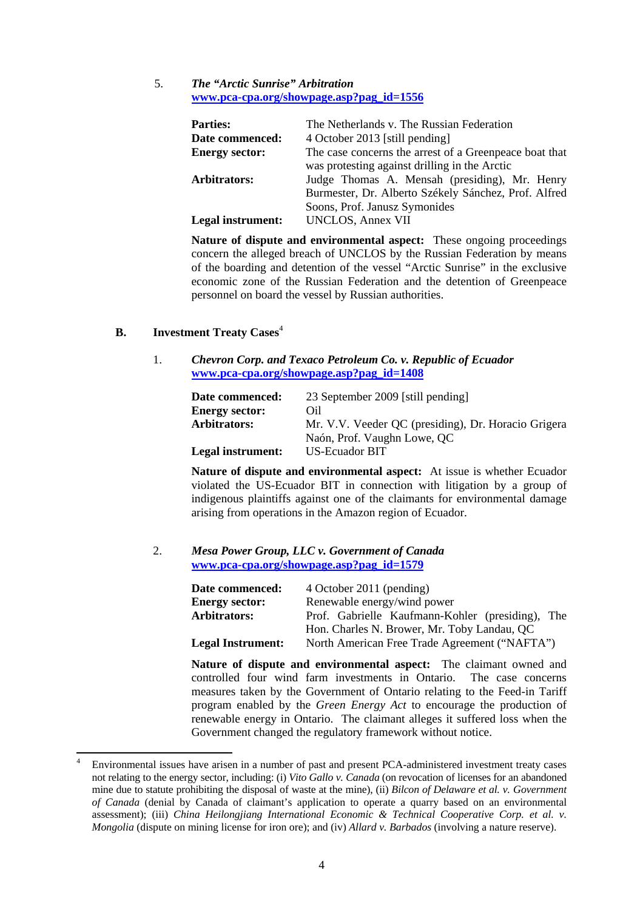5. *The "Arctic Sunrise" Arbitration*  **www.pca-cpa.org/showpage.asp?pag\_id=1556**

| <b>Parties:</b><br>Date commenced:<br><b>Energy sector:</b> | The Netherlands v. The Russian Federation<br>4 October 2013 [still pending]<br>The case concerns the arrest of a Greenpeace boat that |
|-------------------------------------------------------------|---------------------------------------------------------------------------------------------------------------------------------------|
| Arbitrators:                                                | was protesting against drilling in the Arctic<br>Judge Thomas A. Mensah (presiding), Mr. Henry                                        |
| Legal instrument:                                           | Burmester, Dr. Alberto Székely Sánchez, Prof. Alfred<br>Soons, Prof. Janusz Symonides<br><b>UNCLOS, Annex VII</b>                     |

**Nature of dispute and environmental aspect:** These ongoing proceedings concern the alleged breach of UNCLOS by the Russian Federation by means of the boarding and detention of the vessel "Arctic Sunrise" in the exclusive economic zone of the Russian Federation and the detention of Greenpeace personnel on board the vessel by Russian authorities.

## **B. Investment Treaty Cases**<sup>4</sup>

1. *Chevron Corp. and Texaco Petroleum Co. v. Republic of Ecuador* **www.pca-cpa.org/showpage.asp?pag\_id=1408**

| 23 September 2009 [still pending]                   |
|-----------------------------------------------------|
| Oil                                                 |
| Mr. V.V. Veeder QC (presiding), Dr. Horacio Grigera |
| Naón, Prof. Vaughn Lowe, QC                         |
| US-Ecuador BIT                                      |
|                                                     |

**Nature of dispute and environmental aspect:** At issue is whether Ecuador violated the US-Ecuador BIT in connection with litigation by a group of indigenous plaintiffs against one of the claimants for environmental damage arising from operations in the Amazon region of Ecuador.

#### 2. *Mesa Power Group, LLC v. Government of Canada* **www.pca-cpa.org/showpage.asp?pag\_id=1579**

| <b>Date commenced:</b>   | 4 October 2011 (pending)                         |
|--------------------------|--------------------------------------------------|
| <b>Energy sector:</b>    | Renewable energy/wind power                      |
| Arbitrators:             | Prof. Gabrielle Kaufmann-Kohler (presiding), The |
|                          | Hon. Charles N. Brower, Mr. Toby Landau, QC      |
| <b>Legal Instrument:</b> | North American Free Trade Agreement ("NAFTA")    |

**Nature of dispute and environmental aspect:** The claimant owned and controlled four wind farm investments in Ontario. The case concerns measures taken by the Government of Ontario relating to the Feed-in Tariff program enabled by the *Green Energy Act* to encourage the production of renewable energy in Ontario. The claimant alleges it suffered loss when the Government changed the regulatory framework without notice.

<sup>4</sup> Environmental issues have arisen in a number of past and present PCA-administered investment treaty cases not relating to the energy sector, including: (i) *Vito Gallo v. Canada* (on revocation of licenses for an abandoned mine due to statute prohibiting the disposal of waste at the mine), (ii) *Bilcon of Delaware et al. v. Government of Canada* (denial by Canada of claimant's application to operate a quarry based on an environmental assessment); (iii) *China Heilongjiang International Economic & Technical Cooperative Corp. et al. v. Mongolia* (dispute on mining license for iron ore); and (iv) *Allard v. Barbados* (involving a nature reserve).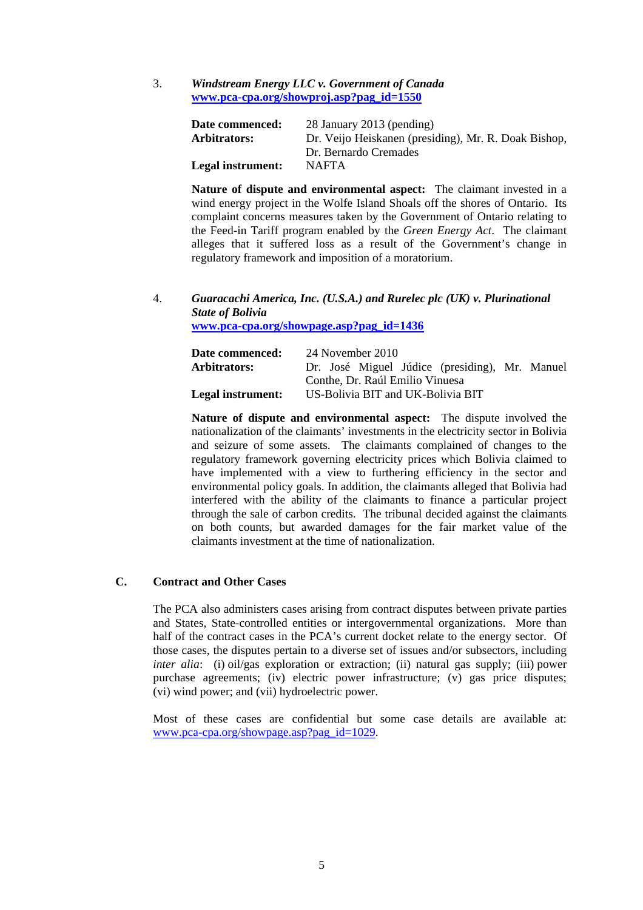3. *Windstream Energy LLC v. Government of Canada* **www.pca-cpa.org/showproj.asp?pag\_id=1550**

| Date commenced:   | 28 January 2013 (pending)                            |
|-------------------|------------------------------------------------------|
| Arbitrators:      | Dr. Veijo Heiskanen (presiding), Mr. R. Doak Bishop, |
|                   | Dr. Bernardo Cremades                                |
| Legal instrument: | <b>NAFTA</b>                                         |

**Nature of dispute and environmental aspect:** The claimant invested in a wind energy project in the Wolfe Island Shoals off the shores of Ontario. Its complaint concerns measures taken by the Government of Ontario relating to the Feed-in Tariff program enabled by the *Green Energy Act*. The claimant alleges that it suffered loss as a result of the Government's change in regulatory framework and imposition of a moratorium.

4. *Guaracachi America, Inc. (U.S.A.) and Rurelec plc (UK) v. Plurinational State of Bolivia* **www.pca-cpa.org/showpage.asp?pag\_id=1436** 

| Date commenced:   | 24 November 2010                               |  |
|-------------------|------------------------------------------------|--|
| Arbitrators:      | Dr. José Miguel Júdice (presiding), Mr. Manuel |  |
|                   | Conthe, Dr. Raúl Emilio Vinuesa                |  |
| Legal instrument: | US-Bolivia BIT and UK-Bolivia BIT              |  |

**Nature of dispute and environmental aspect:** The dispute involved the nationalization of the claimants' investments in the electricity sector in Bolivia and seizure of some assets. The claimants complained of changes to the regulatory framework governing electricity prices which Bolivia claimed to have implemented with a view to furthering efficiency in the sector and environmental policy goals. In addition, the claimants alleged that Bolivia had interfered with the ability of the claimants to finance a particular project through the sale of carbon credits. The tribunal decided against the claimants on both counts, but awarded damages for the fair market value of the claimants investment at the time of nationalization.

#### **C. Contract and Other Cases**

The PCA also administers cases arising from contract disputes between private parties and States, State-controlled entities or intergovernmental organizations. More than half of the contract cases in the PCA's current docket relate to the energy sector. Of those cases, the disputes pertain to a diverse set of issues and/or subsectors, including *inter alia*: (i) oil/gas exploration or extraction; (ii) natural gas supply; (iii) power purchase agreements; (iv) electric power infrastructure; (v) gas price disputes; (vi) wind power; and (vii) hydroelectric power.

Most of these cases are confidential but some case details are available at: www.pca-cpa.org/showpage.asp?pag\_id=1029.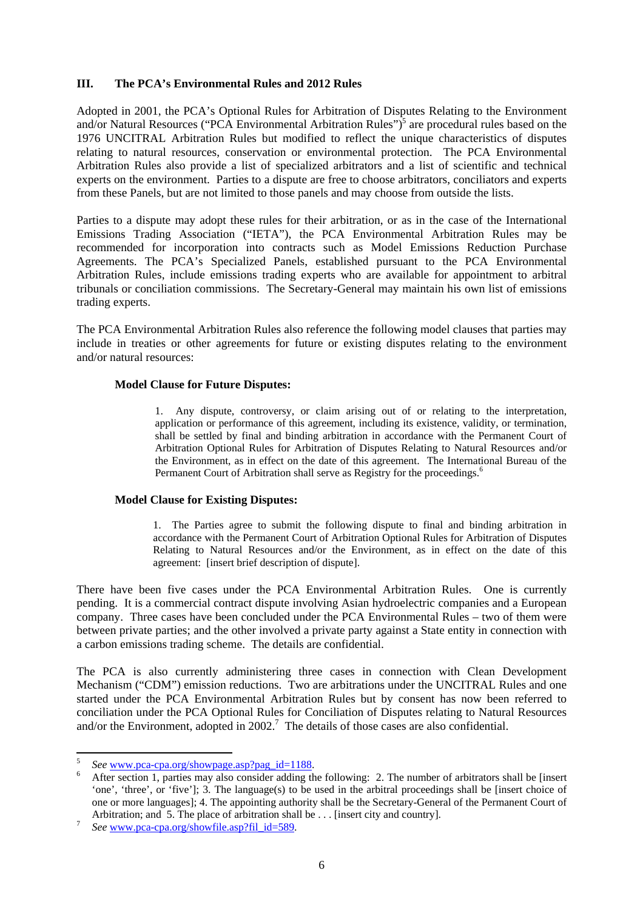### **III. The PCA's Environmental Rules and 2012 Rules**

Adopted in 2001, the PCA's Optional Rules for Arbitration of Disputes Relating to the Environment and/or Natural Resources ("PCA Environmental Arbitration Rules")<sup>5</sup> are procedural rules based on the 1976 UNCITRAL Arbitration Rules but modified to reflect the unique characteristics of disputes relating to natural resources, conservation or environmental protection. The PCA Environmental Arbitration Rules also provide a list of specialized arbitrators and a list of scientific and technical experts on the environment. Parties to a dispute are free to choose arbitrators, conciliators and experts from these Panels, but are not limited to those panels and may choose from outside the lists.

Parties to a dispute may adopt these rules for their arbitration, or as in the case of the International Emissions Trading Association ("IETA"), the PCA Environmental Arbitration Rules may be recommended for incorporation into contracts such as Model Emissions Reduction Purchase Agreements. The PCA's Specialized Panels, established pursuant to the PCA Environmental Arbitration Rules, include emissions trading experts who are available for appointment to arbitral tribunals or conciliation commissions. The Secretary-General may maintain his own list of emissions trading experts.

The PCA Environmental Arbitration Rules also reference the following model clauses that parties may include in treaties or other agreements for future or existing disputes relating to the environment and/or natural resources:

#### **Model Clause for Future Disputes:**

1. Any dispute, controversy, or claim arising out of or relating to the interpretation, application or performance of this agreement, including its existence, validity, or termination, shall be settled by final and binding arbitration in accordance with the Permanent Court of Arbitration Optional Rules for Arbitration of Disputes Relating to Natural Resources and/or the Environment, as in effect on the date of this agreement. The International Bureau of the Permanent Court of Arbitration shall serve as Registry for the proceedings.<sup>6</sup>

#### **Model Clause for Existing Disputes:**

1. The Parties agree to submit the following dispute to final and binding arbitration in accordance with the Permanent Court of Arbitration Optional Rules for Arbitration of Disputes Relating to Natural Resources and/or the Environment, as in effect on the date of this agreement: [insert brief description of dispute].

There have been five cases under the PCA Environmental Arbitration Rules. One is currently pending. It is a commercial contract dispute involving Asian hydroelectric companies and a European company. Three cases have been concluded under the PCA Environmental Rules – two of them were between private parties; and the other involved a private party against a State entity in connection with a carbon emissions trading scheme. The details are confidential.

The PCA is also currently administering three cases in connection with Clean Development Mechanism ("CDM") emission reductions. Two are arbitrations under the UNCITRAL Rules and one started under the PCA Environmental Arbitration Rules but by consent has now been referred to conciliation under the PCA Optional Rules for Conciliation of Disputes relating to Natural Resources and/or the Environment, adopted in  $2002$ .<sup>7</sup> The details of those cases are also confidential.

<sup>&</sup>lt;sup>5</sup> See <u>www.pca-cpa.org/showpage.asp?pag\_id=1188</u>.

After section 1, parties may also consider adding the following: 2. The number of arbitrators shall be [insert 'one', 'three', or 'five']; 3. The language(s) to be used in the arbitral proceedings shall be [insert choice of one or more languages]; 4. The appointing authority shall be the Secretary-General of the Permanent Court of Arbitration; and 5. The place of arbitration shall be . . . [insert city and country]. *See* www.pca-cpa.org/showfile.asp?fil\_id=589.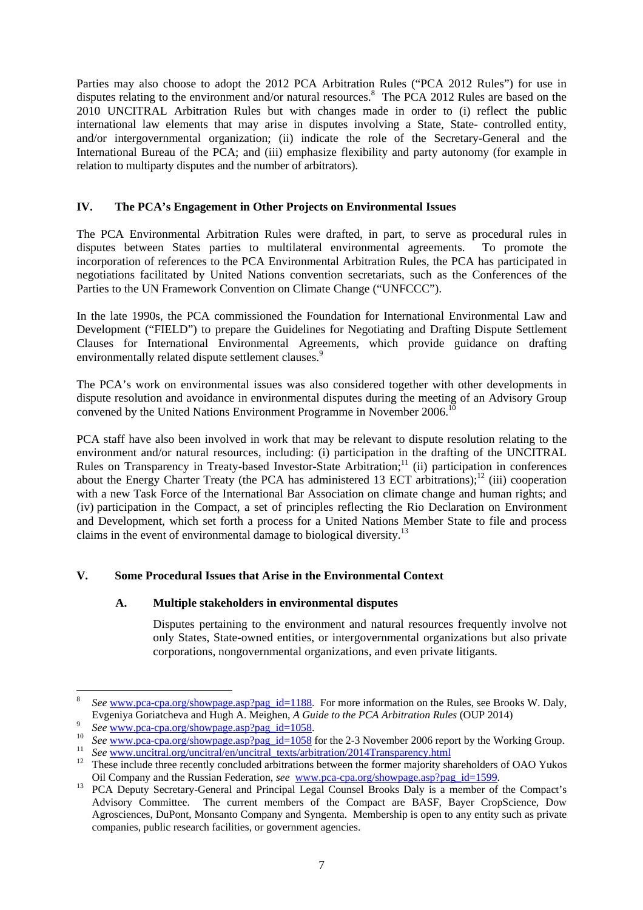Parties may also choose to adopt the 2012 PCA Arbitration Rules ("PCA 2012 Rules") for use in disputes relating to the environment and/or natural resources.<sup>8</sup> The PCA 2012 Rules are based on the 2010 UNCITRAL Arbitration Rules but with changes made in order to (i) reflect the public international law elements that may arise in disputes involving a State, State- controlled entity, and/or intergovernmental organization; (ii) indicate the role of the Secretary-General and the International Bureau of the PCA; and (iii) emphasize flexibility and party autonomy (for example in relation to multiparty disputes and the number of arbitrators).

## **IV. The PCA's Engagement in Other Projects on Environmental Issues**

The PCA Environmental Arbitration Rules were drafted, in part, to serve as procedural rules in disputes between States parties to multilateral environmental agreements. To promote the incorporation of references to the PCA Environmental Arbitration Rules, the PCA has participated in negotiations facilitated by United Nations convention secretariats, such as the Conferences of the Parties to the UN Framework Convention on Climate Change ("UNFCCC").

In the late 1990s, the PCA commissioned the Foundation for International Environmental Law and Development ("FIELD") to prepare the Guidelines for Negotiating and Drafting Dispute Settlement Clauses for International Environmental Agreements, which provide guidance on drafting environmentally related dispute settlement clauses.<sup>9</sup>

The PCA's work on environmental issues was also considered together with other developments in dispute resolution and avoidance in environmental disputes during the meeting of an Advisory Group convened by the United Nations Environment Programme in November 2006.<sup>10</sup>

PCA staff have also been involved in work that may be relevant to dispute resolution relating to the environment and/or natural resources, including: (i) participation in the drafting of the UNCITRAL Rules on Transparency in Treaty-based Investor-State Arbitration;<sup>11</sup> (ii) participation in conferences about the Energy Charter Treaty (the PCA has administered 13 ECT arbitrations);<sup>12</sup> (iii) cooperation with a new Task Force of the International Bar Association on climate change and human rights; and (iv) participation in the Compact, a set of principles reflecting the Rio Declaration on Environment and Development, which set forth a process for a United Nations Member State to file and process claims in the event of environmental damage to biological diversity.13

# **V. Some Procedural Issues that Arise in the Environmental Context**

#### **A. Multiple stakeholders in environmental disputes**

Disputes pertaining to the environment and natural resources frequently involve not only States, State-owned entities, or intergovernmental organizations but also private corporations, nongovernmental organizations, and even private litigants.

<sup>8</sup> *See* www.pca-cpa.org/showpage.asp?pag\_id=1188. For more information on the Rules, see Brooks W. Daly, Evgeniya Goriatcheva and Hugh A. Meighen, A Guide to the PCA Arbitration Rules (OUP 2014)

<sup>&</sup>lt;sup>9</sup> See www.pca-cpa.org/showpage.asp?pag\_id=1058.<br><sup>10</sup> See www.pca-cpa.org/showpage.asp?pag\_id=1058 for the 2-3 November 2006 report by the Working Group.<br><sup>11</sup> See www.uncitral.org/uncitral/en/uncitral\_texts/arbitration/2

Oil Company and the Russian Federation, *see* www.pca-cpa.org/showpage.asp?pag\_id=1599.<br><sup>13</sup> PCA Deputy Secretary-General and Principal Legal Counsel Brooks Daly is a member of the Compact's

Advisory Committee. The current members of the Compact are BASF, Bayer CropScience, Dow Agrosciences, DuPont, Monsanto Company and Syngenta. Membership is open to any entity such as private companies, public research facilities, or government agencies.